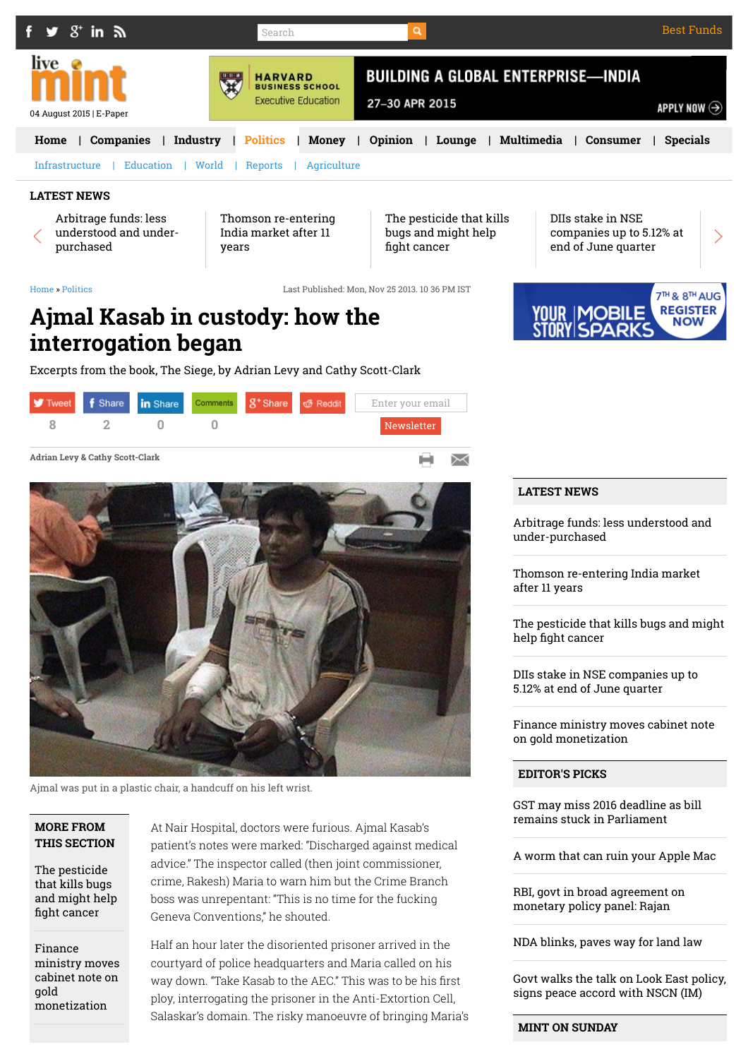

[Home](http://www.livemint.com/) » [Politics](http://www.livemint.com/politics) Last Published: Mon, Nov 25 2013. 10 36 PM IST

# **Ajmal Kasab in custody: how the interrogation began**

Excerpts from the book, The Siege, by Adrian Levy and Cathy Scott-Clark

|  |  | ■ Tweet f Share in Share Comments 8 <sup>+</sup> Share <del>©</del> Reddit | Enter your email |
|--|--|----------------------------------------------------------------------------|------------------|
|  |  |                                                                            | Newsletter       |

**[Adrian Levy & Cathy Scott-Clark](http://www.livemint.com/Search/Link/Author/Adrian%20Levy%20&%20Cathy%20Scott-Clark)**



Ajmal was put in a plastic chair, a handcuff on his left wrist.

## **MORE FROM [THIS SECTION](http://www.livemint.com/Politics)**

The pesticide that kills bugs [and might help](http://www.livemint.com/Politics/HqOxDCpWBu1mkznSi8edFM/The-pesticide-that-kills-bugs-and-might-help-fight-cancer.html) fight cancer

Finance [ministry moves](http://www.livemint.com/Politics/Nrbe6OZmoWjhzFeKkIHStJ/Finance-ministry-moves-cabinet-note-on-gold-monetization.html) cabinet note on gold monetization

At Nair Hospital, doctors were furious. Ajmal Kasab's patient's notes were marked: "Discharged against medical advice." The inspector called (then joint commissioner, crime, Rakesh) Maria to warn him but the Crime Branch boss was unrepentant: "This is no time for the fucking Geneva Conventions," he shouted.

Half an hour later the disoriented prisoner arrived in the courtyard of police headquarters and Maria called on his way down. "Take Kasab to the AEC." This was to be his first ploy, interrogating the prisoner in the Anti-Extortion Cell, Salaskar's domain. The risky manoeuvre of bringing Maria's

#### **[LATEST NEWS](http://www.livemint.com/latest-news)**

[Arbitrage funds: less understood and](http://www.livemint.com/Money/LqT8NtpCSfQNsjW91lalQP/Arbitrage-funds-less-understood-and-underpurchased.html) under-purchased

MOBILE

7<sup>TH</sup> & 8<sup>TH</sup> AUG **REGISTER** 

**NOW** 

[Thomson re-entering India market](http://www.livemint.com/Industry/5nakkHP2ZSSZmqLd8BY8MJ/Thomson-reentering-India-market-after-11-years.html) after 11 years

[The pesticide that kills bugs and might](http://www.livemint.com/Politics/HqOxDCpWBu1mkznSi8edFM/The-pesticide-that-kills-bugs-and-might-help-fight-cancer.html) help fight cancer

[DIIs stake in NSE companies up to](http://www.livemint.com/Money/nmWW5sgaYSFxkh2XhSFzaI/DIIs-stake-in-NSE-companies-up-to-512-at-end-of-June-quart.html) 5.12% at end of June quarter

[Finance ministry moves cabinet note](http://www.livemint.com/Politics/Nrbe6OZmoWjhzFeKkIHStJ/Finance-ministry-moves-cabinet-note-on-gold-monetization.html) on gold monetization

#### **EDITOR'S PICKS**

[GST may miss 2016 deadline as bill](http://www.livemint.com/Politics/RNllnYgoIZEZYugHO2P0DN/GST-may-miss-the-2016-deadline-as-bill-remains-stuck-in-Parl.html) remains stuck in Parliament

[A worm that can ruin your Apple Mac](http://www.livemint.com/Leisure/hrKMcuDCeskzdfc0iNc9lM/A-worm-that-can-ruin-your-Apple-Mac.html)

[RBI, govt in broad agreement on](http://www.livemint.com/Politics/rmzV3n2t3062dRa2wXF6HI/Rajan-says-RBI-govt-in-broad-agreement-on-monetary-policy-c.html) monetary policy panel: Rajan

[NDA blinks, paves way for land law](http://www.livemint.com/Politics/JZ51wQDcB9Q0PBbLXexmTP/BJP-agrees-to-bring-back-key-provisions-in-land-acquisition.html)

[Govt walks the talk on Look East policy,](http://www.livemint.com/Politics/ZfQJmTK2EQP8nt7hwL8NJN/Govt-signs-peace-treaty-with-NSCN.html) signs peace accord with NSCN (IM)

#### **[MINT ON SUNDAY](http://mintonsunday.livemint.com/)**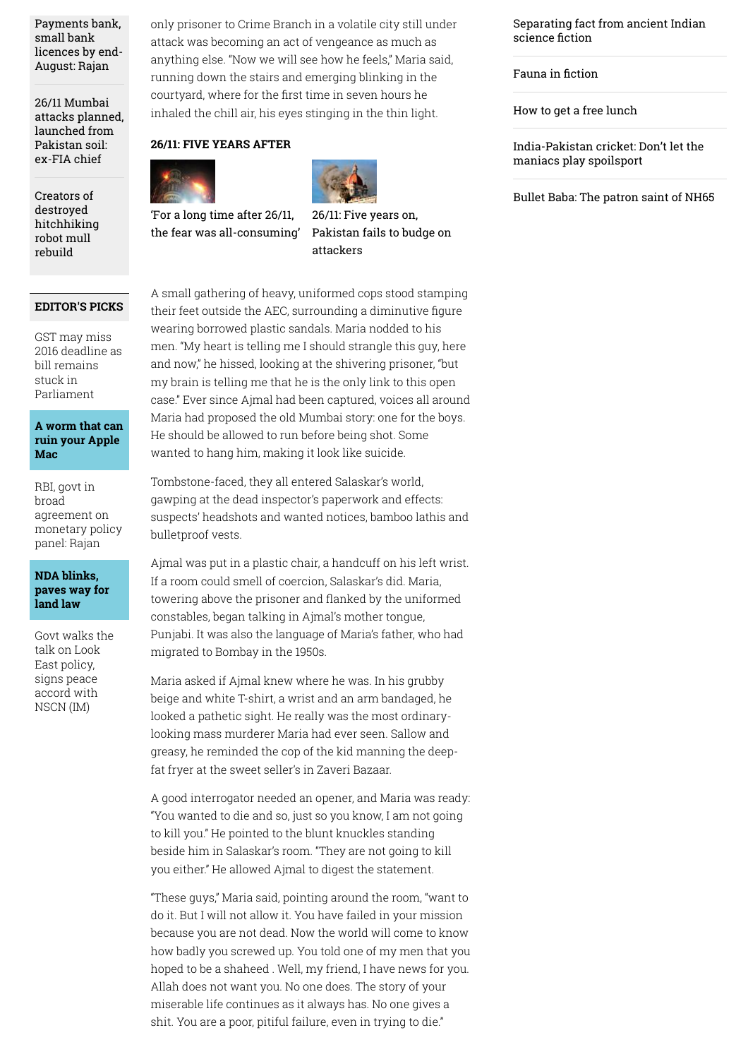Payments bank, small bank [licences by end-](http://www.livemint.com/Politics/9Rwl0jV0B4X2MUFW4jz8lN/Payments-bank-small-bank-licences-by-endAugust-Rajan.html)August: Rajan

26/11 Mumbai [attacks planned,](http://www.livemint.com/Politics/j8WoNeDpXRMTEFOxdvN6UM/2611-Mumbai-attacks-planned-launched-from-Pakistan-soil-e.html) launched from Pakistan soil: ex-FIA chief

Creators of destroyed [hitchhiking](http://www.livemint.com/Politics/NFMUiVdDkkeLbla7zn0kJM/Creators-of-destroyed-hitchhiking-robot-mull-rebuild.html) robot mull rebuild

only prisoner to Crime Branch in a volatile city still under attack was becoming an act of vengeance as much as anything else. "Now we will see how he feels," Maria said, running down the stairs and emerging blinking in the courtyard, where for the first time in seven hours he inhaled the chill air, his eyes stinging in the thin light.

# **26/11: FIVE YEARS AFTER**





26/11: Five years on, [Pakistan fails to budge on](http://www.livemint.com/Politics/ld6oOh6SR5LyV1HodUI0YN/Five-years-on-Pakistan-fails-to-budge-on-2611-attackers.html) attackers

## **EDITOR'S PICKS**

GST may miss [2016 deadline as](http://www.livemint.com/Politics/RNllnYgoIZEZYugHO2P0DN/GST-may-miss-the-2016-deadline-as-bill-remains-stuck-in-Parl.html) bill remains stuck in Parliament

## **[A worm that can](http://www.livemint.com/Leisure/hrKMcuDCeskzdfc0iNc9lM/A-worm-that-can-ruin-your-Apple-Mac.html) ruin your Apple Mac**

RBI, govt in broad agreement on [monetary policy](http://www.livemint.com/Politics/rmzV3n2t3062dRa2wXF6HI/Rajan-says-RBI-govt-in-broad-agreement-on-monetary-policy-c.html) panel: Rajan

# **NDA blinks, [paves way for](http://www.livemint.com/Politics/JZ51wQDcB9Q0PBbLXexmTP/BJP-agrees-to-bring-back-key-provisions-in-land-acquisition.html) land law**

[Govt walks the](http://www.livemint.com/Politics/ZfQJmTK2EQP8nt7hwL8NJN/Govt-signs-peace-treaty-with-NSCN.html) talk on Look East policy, signs peace accord with NSCN (IM)

A small gathering of heavy, uniformed cops stood stamping their feet outside the AEC, surrounding a diminutive figure wearing borrowed plastic sandals. Maria nodded to his men. "My heart is telling me I should strangle this guy, here and now," he hissed, looking at the shivering prisoner, "but my brain is telling me that he is the only link to this open case." Ever since Ajmal had been captured, voices all around Maria had proposed the old Mumbai story: one for the boys. He should be allowed to run before being shot. Some wanted to hang him, making it look like suicide.

Tombstone-faced, they all entered Salaskar's world, gawping at the dead inspector's paperwork and effects: suspects' headshots and wanted notices, bamboo lathis and bulletproof vests.

Ajmal was put in a plastic chair, a handcuff on his left wrist. If a room could smell of coercion, Salaskar's did. Maria, towering above the prisoner and flanked by the uniformed constables, began talking in Ajmal's mother tongue, Punjabi. It was also the language of Maria's father, who had migrated to Bombay in the 1950s.

Maria asked if Ajmal knew where he was. In his grubby beige and white T-shirt, a wrist and an arm bandaged, he looked a pathetic sight. He really was the most ordinarylooking mass murderer Maria had ever seen. Sallow and greasy, he reminded the cop of the kid manning the deepfat fryer at the sweet seller's in Zaveri Bazaar.

A good interrogator needed an opener, and Maria was ready: "You wanted to die and so, just so you know, I am not going to kill you." He pointed to the blunt knuckles standing beside him in Salaskar's room. "They are not going to kill you either." He allowed Ajmal to digest the statement.

"These guys," Maria said, pointing around the room, "want to do it. But I will not allow it. You have failed in your mission because you are not dead. Now the world will come to know how badly you screwed up. You told one of my men that you hoped to be a shaheed . Well, my friend, I have news for you. Allah does not want you. No one does. The story of your miserable life continues as it always has. No one gives a shit. You are a poor, pitiful failure, even in trying to die."

[Separating fact from ancient Indian](http://mintonsunday.livemint.com/news/separating-fact-from-ancient-indian-science-fiction/2.3.4080378329.html) science fiction

[Fauna in](http://mintonsunday.livemint.com/news/fauna-in-fiction/2.3.4080378088.html) fiction

[How to get a free lunch](http://mintonsunday.livemint.com/news/how-to-get-a-free-lunch/2.3.4080358848.html)

[India-Pakistan cricket: Don't let the](http://mintonsunday.livemint.com/news/india-pakistan-cricket:-don%E2%80%99t-let-the-maniacs-play-spoilsport/2.3.4080358664.html) maniacs play spoilsport

[Bullet Baba: The patron saint of NH65](http://mintonsunday.livemint.com/news/bullet-baba:-the-patron-saint-of-nh65/2.3.4080358480.html)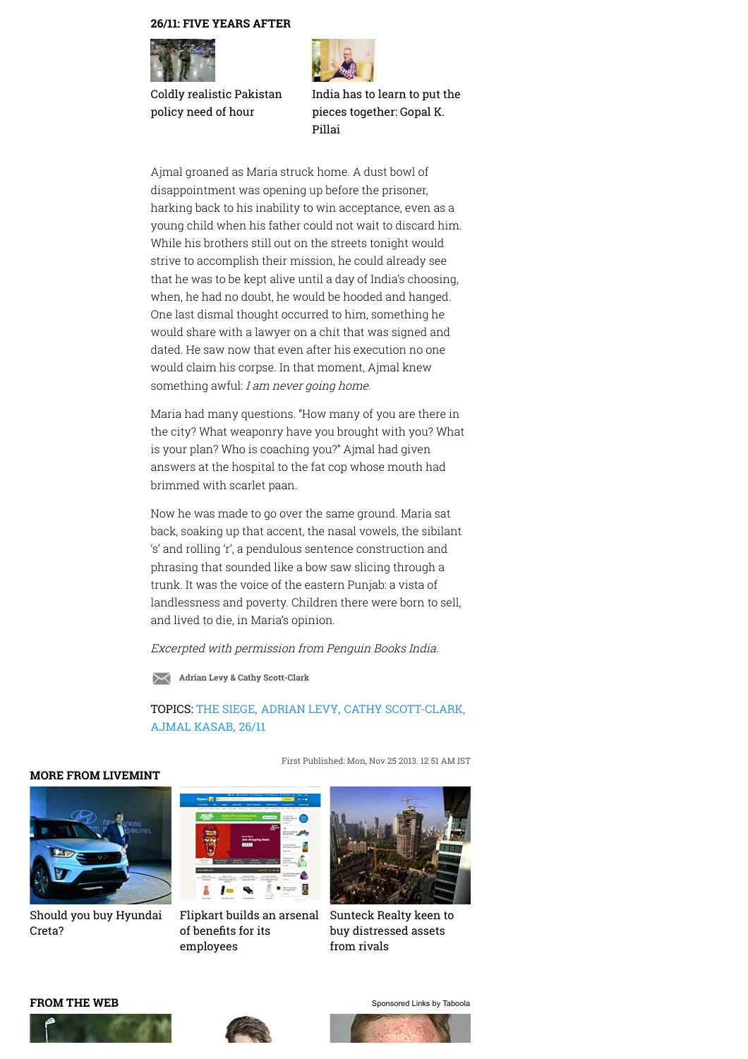# **26/11: FIVE YEARS AFTER**



[Coldly realistic Pakistan](http://www.livemint.com/Politics/R1pD2Q1si94FsnZ0dyTUGO/Coldly-realistic-Pakistan-policy-need-of-hour.html) policy need of hour

[India has to learn to put the](http://www.livemint.com/Politics/ZX4Fxt9SbLNgB2BmsjGAiP/India-has-to-learn-to-put-the-pieces-together-Gopal-K-Pill.html) pieces together: Gopal K. Pillai

Ajmal groaned as Maria struck home. A dust bowl of disappointment was opening up before the prisoner, harking back to his inability to win acceptance, even as a young child when his father could not wait to discard him. While his brothers still out on the streets tonight would strive to accomplish their mission, he could already see that he was to be kept alive until a day of India's choosing, when, he had no doubt, he would be hooded and hanged. One last dismal thought occurred to him, something he would share with a lawyer on a chit that was signed and dated. He saw now that even after his execution no one would claim his corpse. In that moment, Ajmal knew something awful: I am never going home.

Maria had many questions. "How many of you are there in the city? What weaponry have you brought with you? What is your plan? Who is coaching you?" Ajmal had given answers at the hospital to the fat cop whose mouth had brimmed with scarlet paan.

Now he was made to go over the same ground. Maria sat back, soaking up that accent, the nasal vowels, the sibilant 's' and rolling 'r', a pendulous sentence construction and phrasing that sounded like a bow saw slicing through a trunk. It was the voice of the eastern Punjab: a vista of landlessness and poverty. Children there were born to sell, and lived to die, in Maria's opinion.

Excerpted with permission from Penguin Books India.

**[Adrian Levy & Cathy Scott-Clark](http://www.livemint.com/Search/Link/Author/Adrian%20Levy%20&%20Cathy%20Scott-Clark)**

TOPICS: [THE SIEGE,](http://www.livemint.com/Search/Link/Keyword/The%20Siege) [ADRIAN LEVY,](http://www.livemint.com/Search/Link/Keyword/Adrian%20Levy) [CATHY SCOTT-CLARK,](http://www.livemint.com/Search/Link/Keyword/Cathy%20Scott-Clark) [AJMAL KASAB,](http://www.livemint.com/Search/Link/Keyword/Ajmal%20Kasab) [26/11](http://www.livemint.com/Search/Link/Keyword/26/11)

#### **MORE FROM LIVEMINT**



[Should you buy Hyundai](http://www.livemint.com/Consumer/55fg9aS3SoHyncPdCCrUOK/Should-you-buy-Hyundai-Creta.html) Creta?



[Flipkart builds an arsenal](http://www.livemint.com/Companies/32uYTdd2tELLHyq0j0KUvI/Flipkart-builds-an-arsenal-of-benefits-for-its-employees.html) [Sunteck Realty keen to](http://www.livemint.com/Politics/7oIH8Es6g1GA195z91he3N/Sunteck-Realty-keen-to-buy-distressed-assets-from-rivals.html) of benefits for its employees



First Published: Mon, Nov 25 2013. 12 51 AM IST

buy distressed assets from rivals



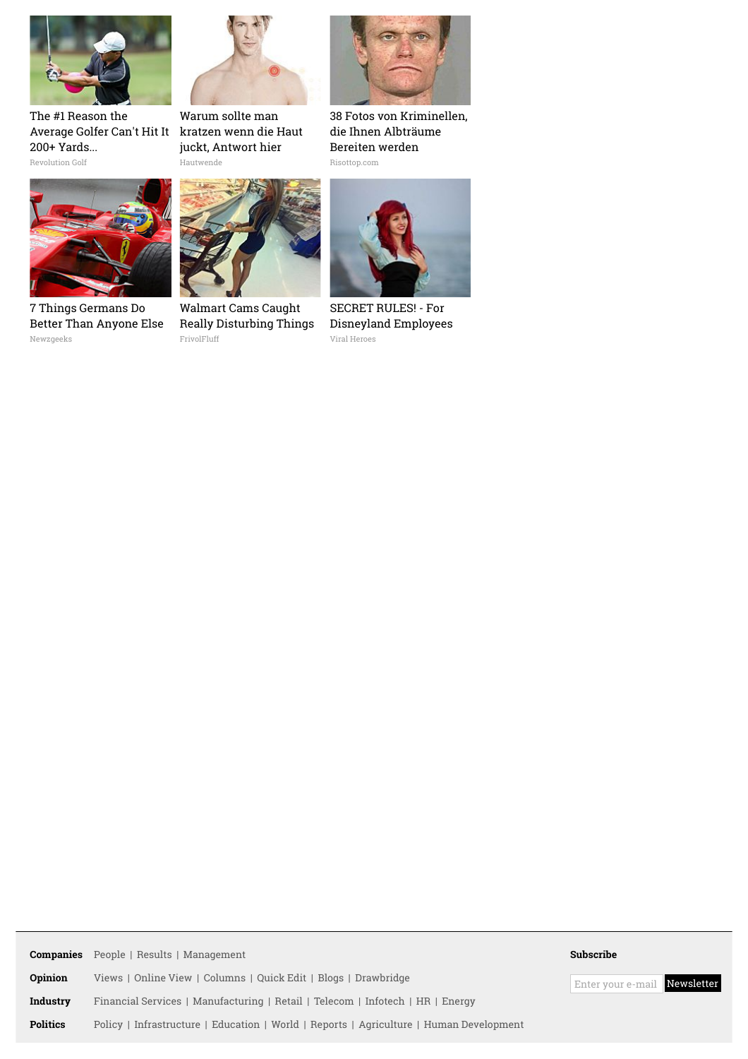

The #1 Reason the [Average Golfer Can't Hit It](http://coaches.revolutiongolf.com/redirect?site=coaches&utm_content=Martin_Ball_1_Reason_200_Yards&headline=The%20%231%20Reason%20the%20Average%20Golfer%20Can%27t%20Hit%20It%20200%2B%20Yards...&utm_source=Taboola&utm_medium=native&utm_campaign=Martin_Ball_Global_Tier_1&placement=hindustantimescom-livemint&image=Martin_Ball&utm_term=hindustantimescom-livemint) [kratzen wenn die Haut](https://www.hautwende.de/hautkrankheiten/nesselsucht?utm_source=CpC04tab&utm_medium=content&utm_campaign=CpC04) 200+ Yards...

Revolution Golf



Newzgeeks 7 Things Germans Do [Better Than Anyone Else](http://newzgeeks.com/7-things-germans-do-best/?utm_source=Taboola&utm_medium=CPC&utm_campaign=DE_Desktop_7ThingsGermansDoBest_BEST_CTR&utm_term=hindustantimescom-livemint)



Hautwende Warum sollte man juckt, Antwort hier

Walmart Cams Caught [Really Disturbing Things](http://www.frivolfluff.com/10-walmart-beauties/?utm_campaign=FRFwalmartPrem&utm_content=P340-T30-walmartlbd-walmart&utm_source=taboola&utm_medium=cpc&utm_term=hindustantimescom-livemint)

FrivolFluff



Risottop.com [38 Fotos von Kriminellen,](http://www.risottop.com/de/creepy/38-fotos-von-kriminellen-die-ihnen-albtraume-bereiten-werden/?utm_source=taboola-de&utm_medium=referral&utm_term=hindustantimescom-livemint&utm_campaign=taboola-de-10) die Ihnen Albträume Bereiten werden



Viral Heroes SECRET RULES! - For [Disneyland Employees](http://www.viralheroes.com/15-secret-rules-for-disney-employees/?utm_content=P876-T11-arielbeach-disneysecretrules-An8S4kLQ75g3BAt5B&utm_source=taboola&utm_medium=referral&utm_term=hindustantimescom-livemint&utm_campaign=VLHP876)

|                 | <b>Companies</b> People   Results   Management                                          | <b>Subscribe</b>             |  |
|-----------------|-----------------------------------------------------------------------------------------|------------------------------|--|
| Opinion         | Views   Online View   Columns   Quick Edit   Blogs   Drawbridge                         | Enter your e-mail Newsletter |  |
| Industry        | Financial Services   Manufacturing   Retail   Telecom   Infotech   HR   Energy          |                              |  |
| <b>Politics</b> | Policy   Infrastructure   Education   World   Reports   Agriculture   Human Development |                              |  |